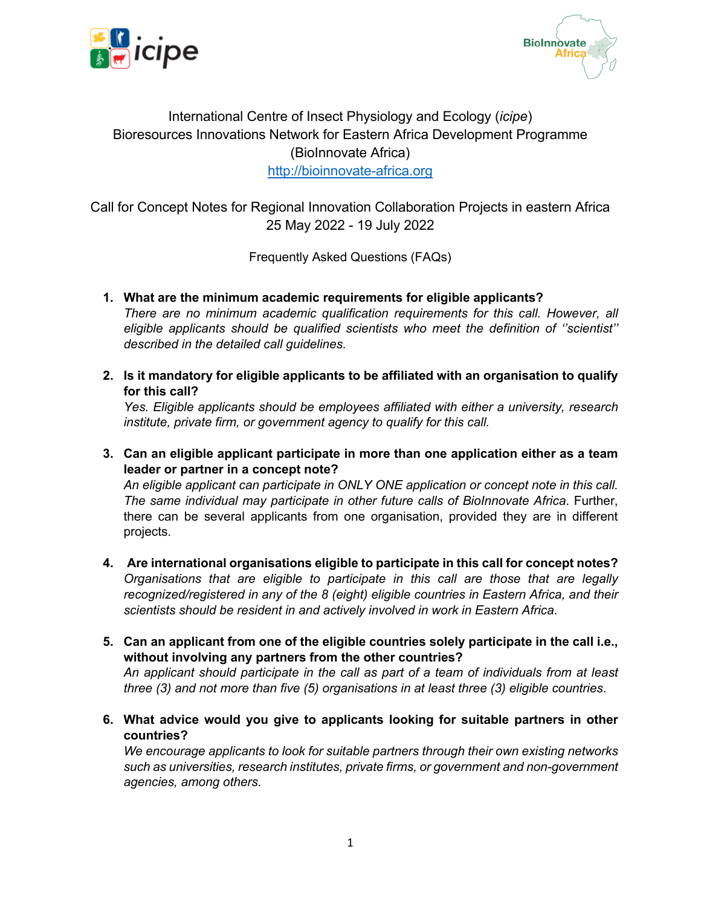



## International Centre of Insect Physiology and Ecology (*icipe*) Bioresources Innovations Network for Eastern Africa Development Programme (BioInnovate Africa) http://bioinnovate-africa.org

Call for Concept Notes for Regional Innovation Collaboration Projects in eastern Africa 25 May 2022 - 19 July 2022

Frequently Asked Questions (FAQs)

**1. What are the minimum academic requirements for eligible applicants?**

*There are no minimum academic qualification requirements for this call. However, all eligible applicants should be qualified scientists who meet the definition of ''scientist'' described in the detailed call guidelines.*

**2. Is it mandatory for eligible applicants to be affiliated with an organisation to qualify for this call?**

*Yes. Eligible applicants should be employees affiliated with either a university, research institute, private firm, or government agency to qualify for this call.*

**3. Can an eligible applicant participate in more than one application either as a team leader or partner in a concept note?**

*An eligible applicant can participate in ONLY ONE application or concept note in this call. The same individual may participate in other future calls of BioInnovate Africa*. Further, there can be several applicants from one organisation, provided they are in different projects.

- **4. Are international organisations eligible to participate in this call for concept notes?** *Organisations that are eligible to participate in this call are those that are legally recognized/registered in any of the 8 (eight) eligible countries in Eastern Africa, and their scientists should be resident in and actively involved in work in Eastern Africa*.
- **5. Can an applicant from one of the eligible countries solely participate in the call i.e., without involving any partners from the other countries?**

*An applicant should participate in the call as part of a team of individuals from at least three (3) and not more than five (5) organisations in at least three (3) eligible countries*.

**6. What advice would you give to applicants looking for suitable partners in other countries?**

*We encourage applicants to look for suitable partners through their own existing networks such as universities, research institutes, private firms, or government and non-government agencies, among others.*